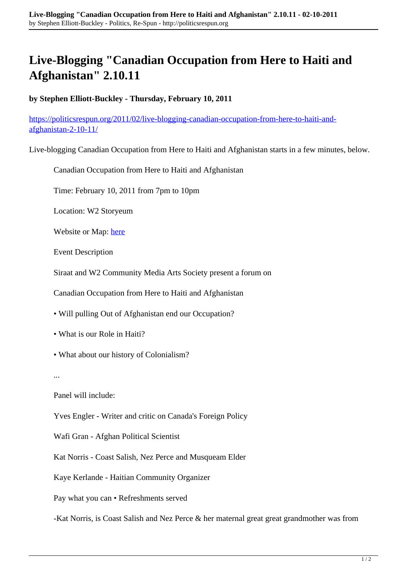## **Live-Blogging "Canadian Occupation from Here to Haiti and Afghanistan" 2.10.11**

**by Stephen Elliott-Buckley - Thursday, February 10, 2011**

[https://politicsrespun.org/2011/02/live-blogging-canadian-occupation-from-here-to-haiti-and](https://politicsrespun.org/2011/02/live-blogging-canadian-occupation-from-here-to-haiti-and-afghanistan-2-10-11/)[afghanistan-2-10-11/](https://politicsrespun.org/2011/02/live-blogging-canadian-occupation-from-here-to-haiti-and-afghanistan-2-10-11/)

Live-blogging Canadian Occupation from Here to Haiti and Afghanistan starts in a few minutes, below.

Canadian Occupation from Here to Haiti and Afghanistan

Time: February 10, 2011 from 7pm to 10pm

Location: W2 Storyeum

Website or Map: [here](http://maps.google.com/maps?f=q&source=s_q&hl=en&geocode=&q=151+W.+Cordova+St+vancouver&aq=&sll=49.244837,-123.070026&sspn=0.00692,0.013797&ie=UTF8&hq=&hnear=151+W+Cordova+St,+Vancouver,+Greater+Vancouver+Regional+District,+British+Columbia+V6B+1G1,+Canada&t=h&z=16)

Event Description

Siraat and W2 Community Media Arts Society present a forum on

Canadian Occupation from Here to Haiti and Afghanistan

• Will pulling Out of Afghanistan end our Occupation?

- What is our Role in Haiti?
- What about our history of Colonialism?

...

Panel will include:

Yves Engler - Writer and critic on Canada's Foreign Policy

Wafi Gran - Afghan Political Scientist

Kat Norris - Coast Salish, Nez Perce and Musqueam Elder

Kaye Kerlande - Haitian Community Organizer

Pay what you can • Refreshments served

-Kat Norris, is Coast Salish and Nez Perce & her maternal great great grandmother was from